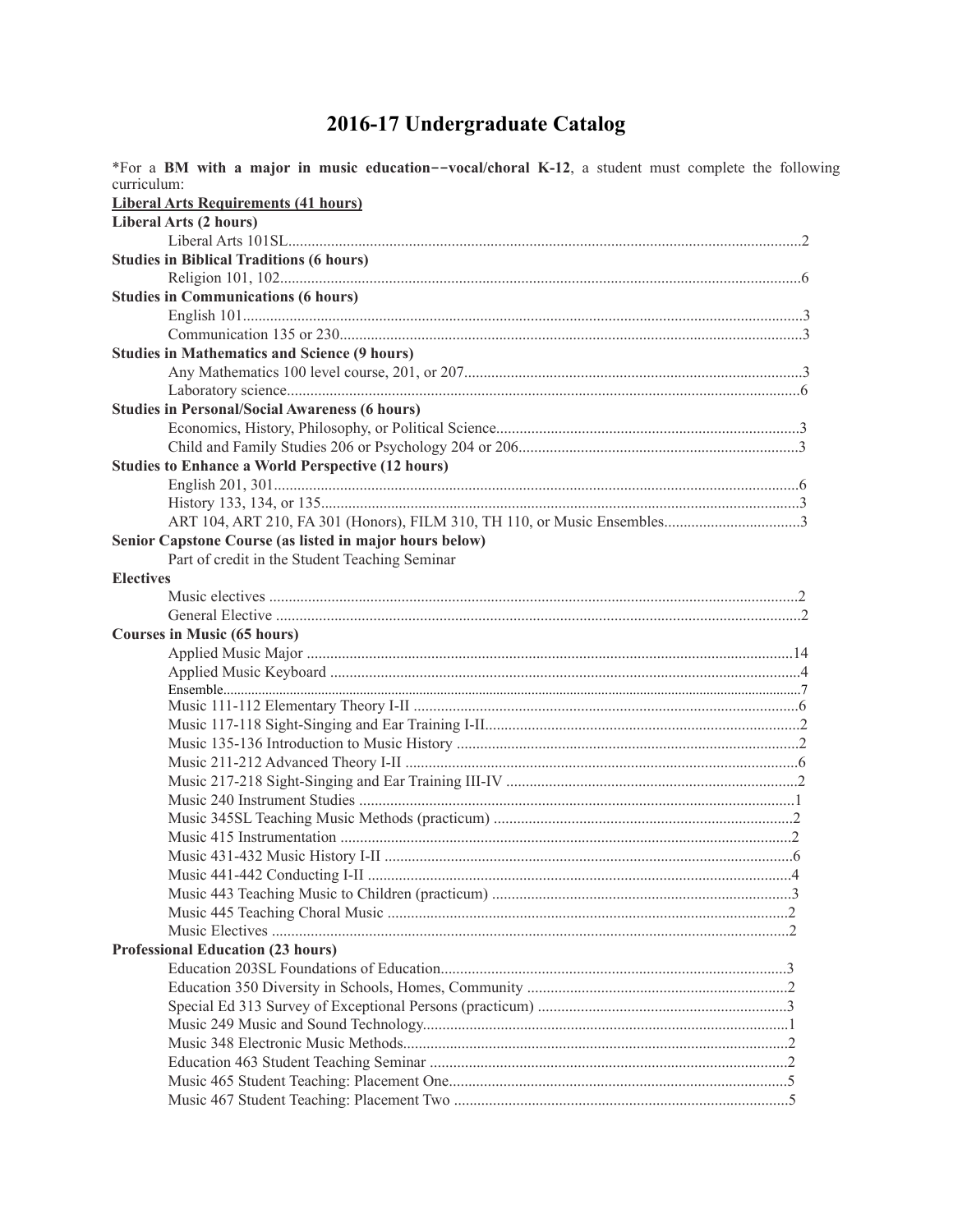## 2016-17 Undergraduate Catalog

| *For a BM with a major in music education--vocal/choral K-12, a student must complete the following |  |
|-----------------------------------------------------------------------------------------------------|--|
| curriculum:                                                                                         |  |
| <b>Liberal Arts Requirements (41 hours)</b>                                                         |  |
| Liberal Arts (2 hours)                                                                              |  |
|                                                                                                     |  |
| <b>Studies in Biblical Traditions (6 hours)</b>                                                     |  |
|                                                                                                     |  |
| <b>Studies in Communications (6 hours)</b>                                                          |  |
|                                                                                                     |  |
|                                                                                                     |  |
| <b>Studies in Mathematics and Science (9 hours)</b>                                                 |  |
|                                                                                                     |  |
|                                                                                                     |  |
| <b>Studies in Personal/Social Awareness (6 hours)</b>                                               |  |
|                                                                                                     |  |
|                                                                                                     |  |
| <b>Studies to Enhance a World Perspective (12 hours)</b>                                            |  |
|                                                                                                     |  |
|                                                                                                     |  |
|                                                                                                     |  |
| Senior Capstone Course (as listed in major hours below)                                             |  |
| Part of credit in the Student Teaching Seminar                                                      |  |
| <b>Electives</b>                                                                                    |  |
|                                                                                                     |  |
|                                                                                                     |  |
| <b>Courses in Music (65 hours)</b>                                                                  |  |
|                                                                                                     |  |
|                                                                                                     |  |
|                                                                                                     |  |
|                                                                                                     |  |
|                                                                                                     |  |
|                                                                                                     |  |
|                                                                                                     |  |
|                                                                                                     |  |
|                                                                                                     |  |
|                                                                                                     |  |
|                                                                                                     |  |
|                                                                                                     |  |
|                                                                                                     |  |
|                                                                                                     |  |
|                                                                                                     |  |
|                                                                                                     |  |
| <b>Professional Education (23 hours)</b>                                                            |  |
|                                                                                                     |  |
|                                                                                                     |  |
|                                                                                                     |  |
|                                                                                                     |  |
|                                                                                                     |  |
|                                                                                                     |  |
|                                                                                                     |  |
|                                                                                                     |  |
|                                                                                                     |  |